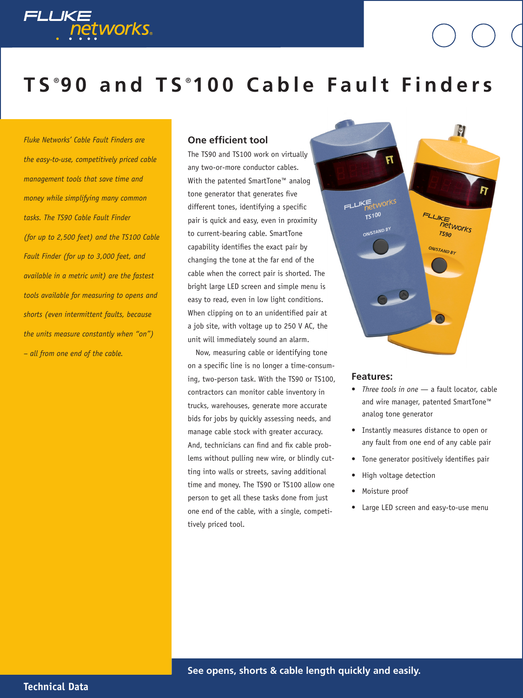

# **T S** ® **9 0 a n d T S** ® **1 0 0 C a b l e F a u l t F i n d e r s**

*Fluke Networks' Cable Fault Finders are the easy-to-use, competitively priced cable management tools that save time and money while simplifying many common tasks. The TS90 Cable Fault Finder (for up to 2,500 feet) and the TS100 Cable Fault Finder (for up to 3,000 feet, and available in a metric unit) are the fastest tools available for measuring to opens and shorts (even intermittent faults, because the units measure constantly when "on") – all from one end of the cable.*

### **One efficient tool**

The TS90 and TS100 work on virtually any two-or-more conductor cables. With the patented SmartTone™ analog tone generator that generates five different tones, identifying a specific pair is quick and easy, even in proximity to current-bearing cable. SmartTone capability identifies the exact pair by changing the tone at the far end of the cable when the correct pair is shorted. The bright large LED screen and simple menu is easy to read, even in low light conditions. When clipping on to an unidentified pair at a job site, with voltage up to 250 V AC, the unit will immediately sound an alarm.

Now, measuring cable or identifying tone on a specific line is no longer a time-consuming, two-person task. With the TS90 or TS100, contractors can monitor cable inventory in trucks, warehouses, generate more accurate bids for jobs by quickly assessing needs, and manage cable stock with greater accuracy. And, technicians can find and fix cable problems without pulling new wire, or blindly cutting into walls or streets, saving additional time and money. The TS90 or TS100 allow one person to get all these tasks done from just one end of the cable, with a single, competitively priced tool.



#### **Features:**

- *Three tools in one* a fault locator, cable and wire manager, patented SmartTone™ analog tone generator
- Instantly measures distance to open or any fault from one end of any cable pair
- Tone generator positively identifies pair
- High voltage detection
- Moisture proof
- Large LED screen and easy-to-use menu

**Technical Data**